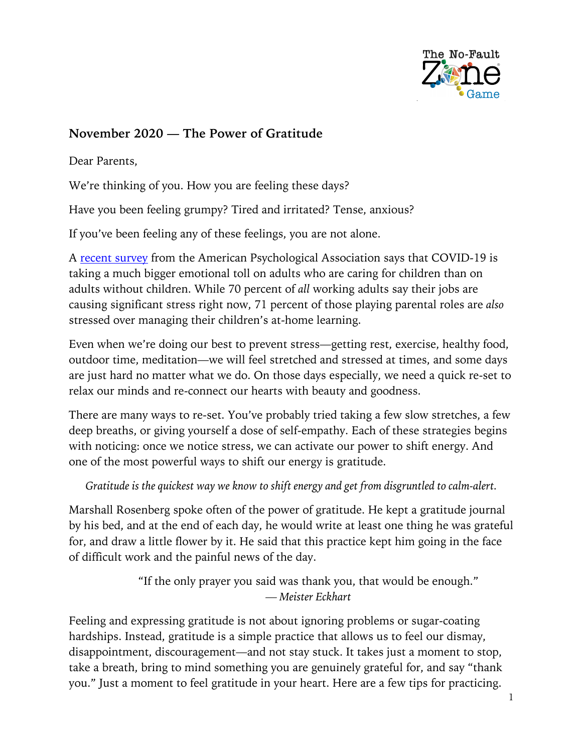

### **November 2020 — The Power of Gratitude**

Dear Parents,

We're thinking of you. How you are feeling these days?

Have you been feeling grumpy? Tired and irritated? Tense, anxious?

If you've been feeling any of these feelings, you are not alone.

A recent survey from the American Psychological Association says that COVID-19 is taking a much bigger emotional toll on adults who are caring for children than on adults without children. While 70 percent of *all* working adults say their jobs are causing significant stress right now, 71 percent of those playing parental roles are *also* stressed over managing their children's at-home learning.

Even when we're doing our best to prevent stress—getting rest, exercise, healthy food, outdoor time, meditation—we will feel stretched and stressed at times, and some days are just hard no matter what we do. On those days especially, we need a quick re-set to relax our minds and re-connect our hearts with beauty and goodness.

There are many ways to re-set. You've probably tried taking a few slow stretches, a few deep breaths, or giving yourself a dose of self-empathy. Each of these strategies begins with noticing: once we notice stress, we can activate our power to shift energy. And one of the most powerful ways to shift our energy is gratitude.

*Gratitude is the quickest way we know to shift energy and get from disgruntled to calm-alert.*

Marshall Rosenberg spoke often of the power of gratitude. He kept a gratitude journal by his bed, and at the end of each day, he would write at least one thing he was grateful for, and draw a little flower by it. He said that this practice kept him going in the face of difficult work and the painful news of the day.

> "If the only prayer you said was thank you, that would be enough." *— Meister Eckhart*

Feeling and expressing gratitude is not about ignoring problems or sugar-coating hardships. Instead, gratitude is a simple practice that allows us to feel our dismay, disappointment, discouragement—and not stay stuck. It takes just a moment to stop, take a breath, bring to mind something you are genuinely grateful for, and say "thank you." Just a moment to feel gratitude in your heart. Here are a few tips for practicing.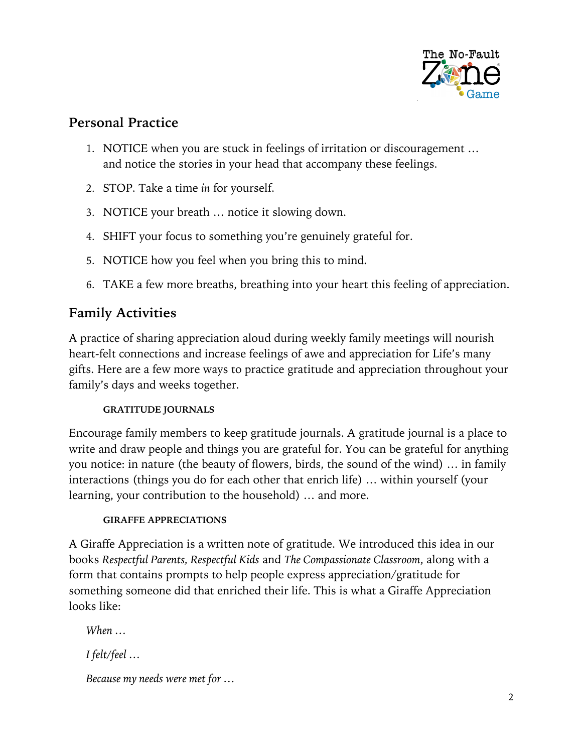

## **Personal Practice**

- 1. NOTICE when you are stuck in feelings of irritation or discouragement … and notice the stories in your head that accompany these feelings.
- 2. STOP. Take a time *in* for yourself.
- 3. NOTICE your breath … notice it slowing down.
- 4. SHIFT your focus to something you're genuinely grateful for.
- 5. NOTICE how you feel when you bring this to mind.
- 6. TAKE a few more breaths, breathing into your heart this feeling of appreciation.

# **Family Activities**

A practice of sharing appreciation aloud during weekly family meetings will nourish heart-felt connections and increase feelings of awe and appreciation for Life's many gifts. Here are a few more ways to practice gratitude and appreciation throughout your family's days and weeks together.

### **GRATITUDE JOURNALS**

Encourage family members to keep gratitude journals. A gratitude journal is a place to write and draw people and things you are grateful for. You can be grateful for anything you notice: in nature (the beauty of flowers, birds, the sound of the wind) … in family interactions (things you do for each other that enrich life) … within yourself (your learning, your contribution to the household) … and more.

### **GIRAFFE APPRECIATIONS**

A Giraffe Appreciation is a written note of gratitude. We introduced this idea in our books *Respectful Parents, Respectful Kids* and *The Compassionate Classroom*, along with a form that contains prompts to help people express appreciation/gratitude for something someone did that enriched their life. This is what a Giraffe Appreciation looks like:

*When …*

*I felt/feel …*

*Because my needs were met for …*